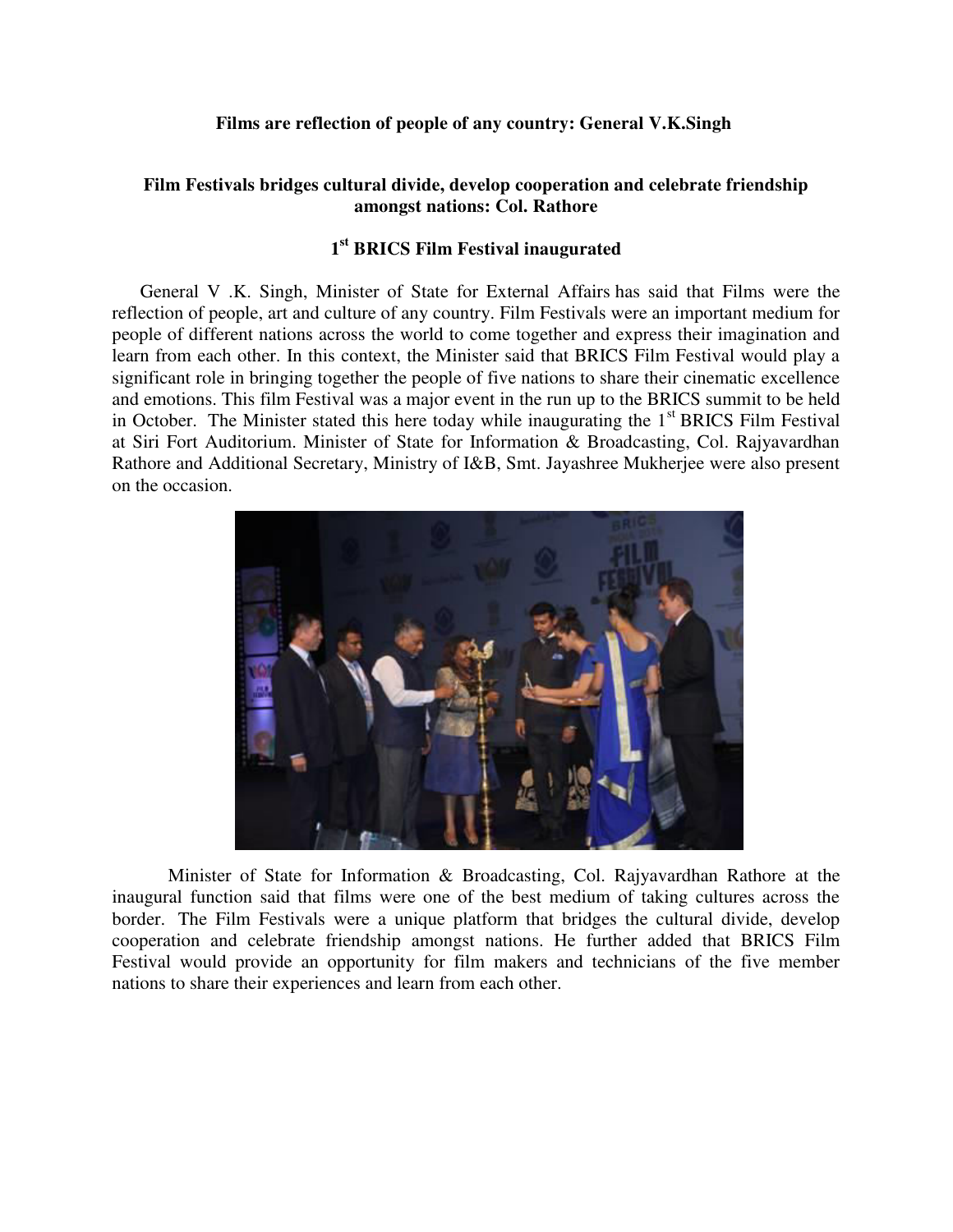## **Films are reflection of people of any country: General V.K.Singh**

## **Film Festivals bridges cultural divide, develop cooperation and celebrate friendship amongst nations: Col. Rathore**

## **1 st BRICS Film Festival inaugurated**

General V .K. Singh, Minister of State for External Affairs has said that Films were the reflection of people, art and culture of any country. Film Festivals were an important medium for people of different nations across the world to come together and express their imagination and learn from each other. In this context, the Minister said that BRICS Film Festival would play a significant role in bringing together the people of five nations to share their cinematic excellence and emotions. This film Festival was a major event in the run up to the BRICS summit to be held in October. The Minister stated this here today while inaugurating the  $1<sup>st</sup>$  BRICS Film Festival at Siri Fort Auditorium. Minister of State for Information & Broadcasting, Col. Rajyavardhan Rathore and Additional Secretary, Ministry of I&B, Smt. Jayashree Mukherjee were also present on the occasion.



Minister of State for Information & Broadcasting, Col. Rajyavardhan Rathore at the inaugural function said that films were one of the best medium of taking cultures across the border. The Film Festivals were a unique platform that bridges the cultural divide, develop cooperation and celebrate friendship amongst nations. He further added that BRICS Film Festival would provide an opportunity for film makers and technicians of the five member nations to share their experiences and learn from each other.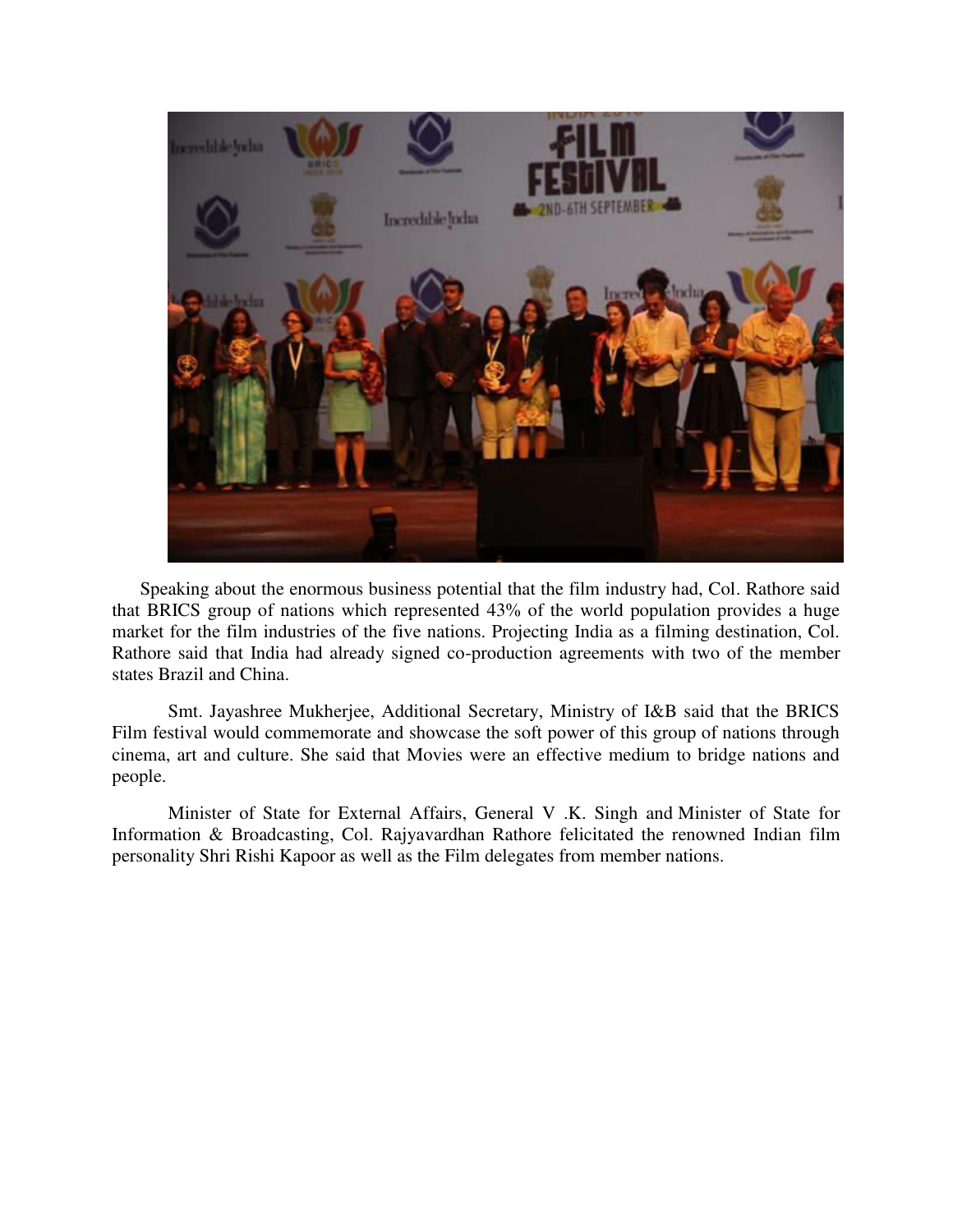

Speaking about the enormous business potential that the film industry had, Col. Rathore said that BRICS group of nations which represented 43% of the world population provides a huge market for the film industries of the five nations. Projecting India as a filming destination, Col. Rathore said that India had already signed co-production agreements with two of the member states Brazil and China.

Smt. Jayashree Mukherjee, Additional Secretary, Ministry of I&B said that the BRICS Film festival would commemorate and showcase the soft power of this group of nations through cinema, art and culture. She said that Movies were an effective medium to bridge nations and people.

Minister of State for External Affairs, General V .K. Singh and Minister of State for Information & Broadcasting, Col. Rajyavardhan Rathore felicitated the renowned Indian film personality Shri Rishi Kapoor as well as the Film delegates from member nations.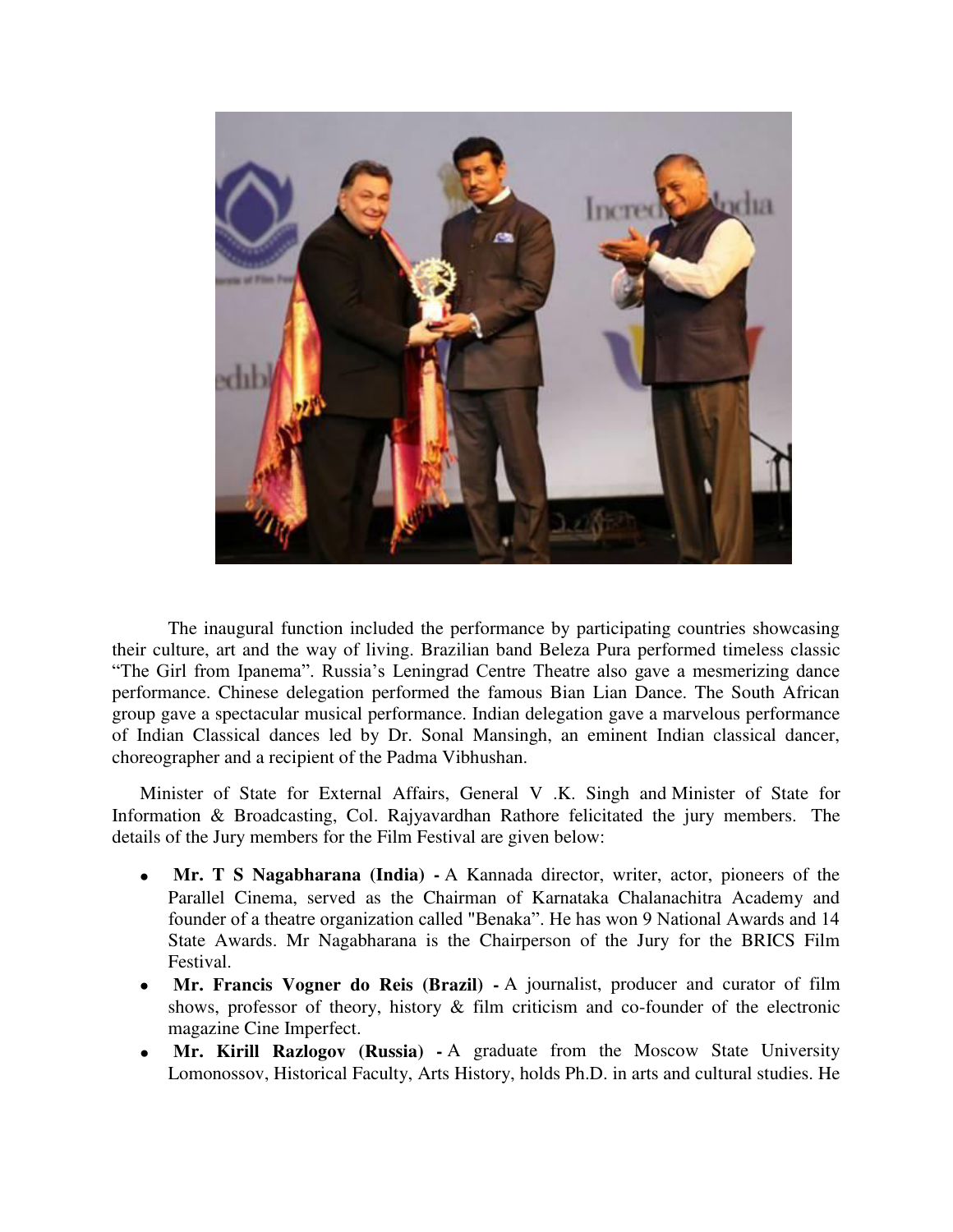

The inaugural function included the performance by participating countries showcasing their culture, art and the way of living. Brazilian band Beleza Pura performed timeless classic "The Girl from Ipanema". Russia's Leningrad Centre Theatre also gave a mesmerizing dance performance. Chinese delegation performed the famous Bian Lian Dance. The South African group gave a spectacular musical performance. Indian delegation gave a marvelous performance of Indian Classical dances led by Dr. Sonal Mansingh, an eminent Indian classical dancer, choreographer and a recipient of the Padma Vibhushan.

Minister of State for External Affairs, General V .K. Singh and Minister of State for Information & Broadcasting, Col. Rajyavardhan Rathore felicitated the jury members. The details of the Jury members for the Film Festival are given below:

- $\bullet$  **Mr. T S Nagabharana (India) -** A Kannada director, writer, actor, pioneers of the Parallel Cinema, served as the Chairman of Karnataka Chalanachitra Academy and founder of a theatre organization called "Benaka". He has won 9 National Awards and 14 State Awards. Mr Nagabharana is the Chairperson of the Jury for the BRICS Film Festival.
- **Mr. Francis Vogner do Reis (Brazil)** A journalist, producer and curator of film shows, professor of theory, history & film criticism and co-founder of the electronic magazine Cine Imperfect.
- $\bullet$  **Mr. Kirill Razlogov (Russia) -** A graduate from the Moscow State University Lomonossov, Historical Faculty, Arts History, holds Ph.D. in arts and cultural studies. He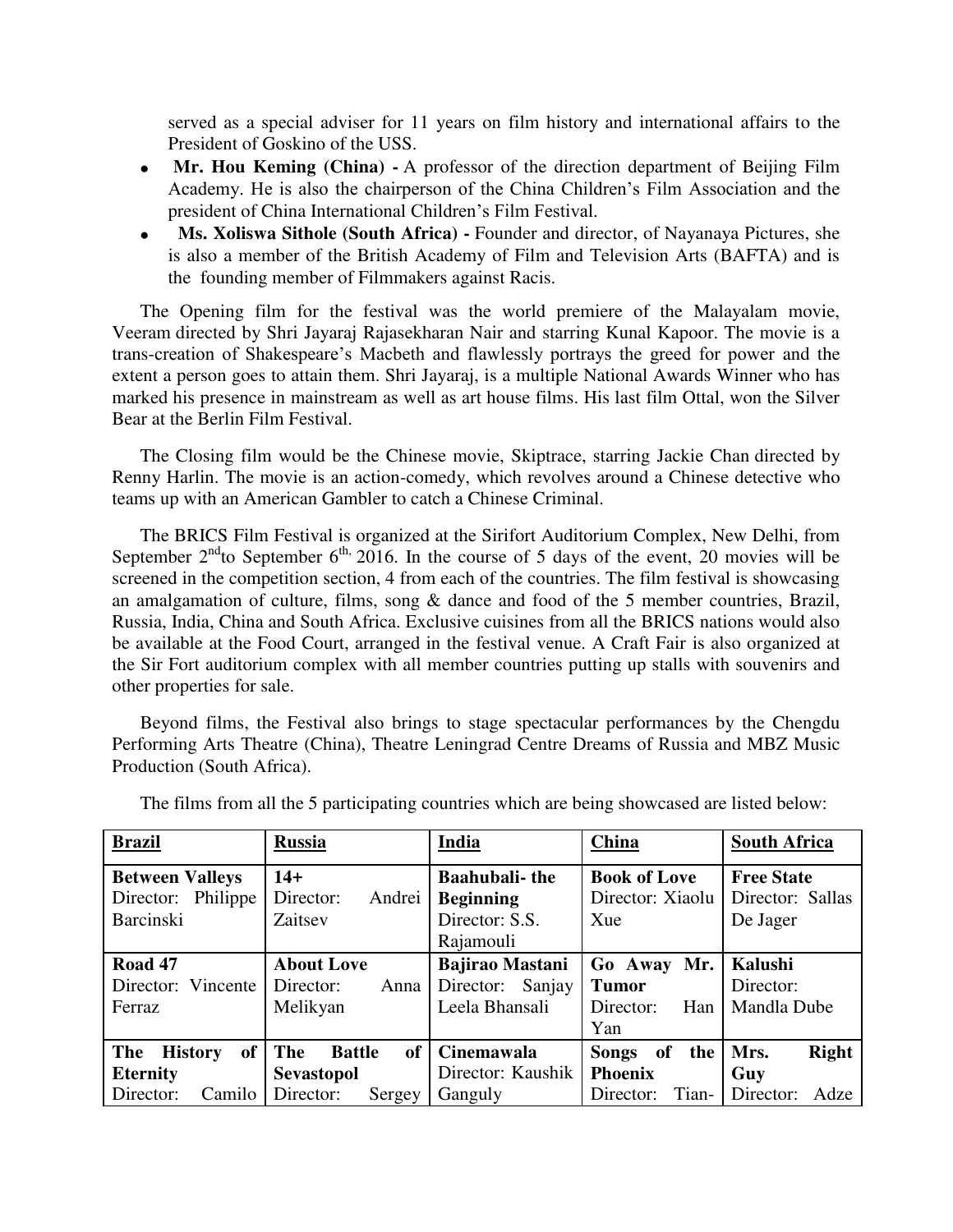served as a special adviser for 11 years on film history and international affairs to the President of Goskino of the USS.

- **Mr. Hou Keming (China)** A professor of the direction department of Beijing Film Academy. He is also the chairperson of the China Children's Film Association and the president of China International Children's Film Festival.
- $\bullet$  **Ms. Xoliswa Sithole (South Africa) -** Founder and director, of Nayanaya Pictures, she is also a member of the British Academy of Film and Television Arts (BAFTA) and is the founding member of Filmmakers against Racis.

The Opening film for the festival was the world premiere of the Malayalam movie, Veeram directed by Shri Jayaraj Rajasekharan Nair and starring Kunal Kapoor. The movie is a trans-creation of Shakespeare's Macbeth and flawlessly portrays the greed for power and the extent a person goes to attain them. Shri Jayaraj, is a multiple National Awards Winner who has marked his presence in mainstream as well as art house films. His last film Ottal, won the Silver Bear at the Berlin Film Festival.

The Closing film would be the Chinese movie, Skiptrace, starring Jackie Chan directed by Renny Harlin. The movie is an action-comedy, which revolves around a Chinese detective who teams up with an American Gambler to catch a Chinese Criminal.

The BRICS Film Festival is organized at the Sirifort Auditorium Complex, New Delhi, from September  $2^{nd}$  to September 6<sup>th, 2016.</sup> In the course of 5 days of the event, 20 movies will be screened in the competition section, 4 from each of the countries. The film festival is showcasing an amalgamation of culture, films, song & dance and food of the 5 member countries, Brazil, Russia, India, China and South Africa. Exclusive cuisines from all the BRICS nations would also be available at the Food Court, arranged in the festival venue. A Craft Fair is also organized at the Sir Fort auditorium complex with all member countries putting up stalls with souvenirs and other properties for sale.

Beyond films, the Festival also brings to stage spectacular performances by the Chengdu Performing Arts Theatre (China), Theatre Leningrad Centre Dreams of Russia and MBZ Music Production (South Africa).

| <b>Brazil</b>                                 | <b>Russia</b>              | India                  | China                     | <b>South Africa</b> |
|-----------------------------------------------|----------------------------|------------------------|---------------------------|---------------------|
| <b>Between Valleys</b>                        | $14+$                      | <b>Baahubali-the</b>   | <b>Book of Love</b>       | <b>Free State</b>   |
| Director: Philippe                            | Director:<br>Andrei        | <b>Beginning</b>       | Director: Xiaolu          | Director: Sallas    |
| <b>Barcinski</b>                              | Zaitsev                    | Director: S.S.         | Xue                       | De Jager            |
|                                               |                            | Rajamouli              |                           |                     |
| Road 47                                       | <b>About Love</b>          | <b>Bajirao Mastani</b> | Go Away<br>Mr.            | Kalushi             |
| Director: Vincente                            | Director:<br>Anna          | Sanjay<br>Director:    | <b>Tumor</b>              | Director:           |
| Ferraz                                        | Melikyan                   | Leela Bhansali         | Director:<br>Han          | Mandla Dube         |
|                                               |                            |                        | Yan                       |                     |
| <sub>of</sub><br><b>The</b><br><b>History</b> | The<br>of<br><b>Battle</b> | <b>Cinemawala</b>      | of<br>the<br><b>Songs</b> | Right<br>Mrs.       |
| <b>Eternity</b>                               | <b>Sevastopol</b>          | Director: Kaushik      | <b>Phoenix</b>            | Guy                 |
| Director:<br>Camilo                           | Director:<br>Sergey        | Ganguly                | Tian-<br>Director:        | Director:<br>Adze   |

The films from all the 5 participating countries which are being showcased are listed below: